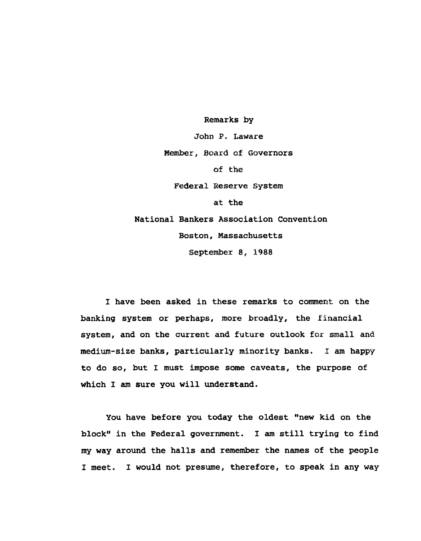Remarks by John P. Laware Member, Board of Governors of the Federal Reserve System at the National Bankers Association Convention Boston, Massachusetts September 8, 1988

I have been asked in these remarks to comment on the banking system or perhaps, more broadly, the financial system, and on the current and future outlook for small and medium-size banks, particularly minority banks. I am happy to do so, but I must impose some caveats, the purpose of which I am sure you will understand.

You have before you today the oldest "new kid on the block" in the Federal government. I am still trying to find my way around the halls and remember the names of the people I meet. I would not presume, therefore, to speak in any way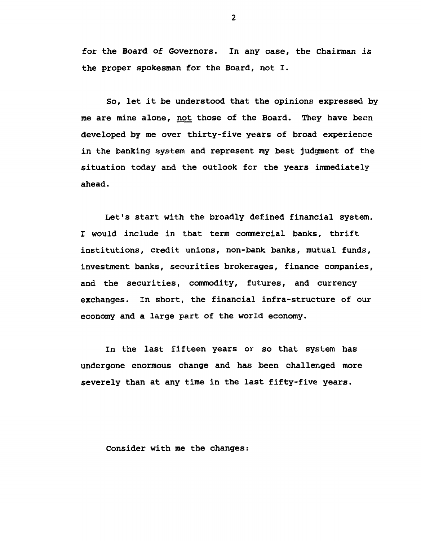for the Board of Governors. In any case, the Chairman is the proper spokesman for the Board, not I.

So, let it be understood that the opinions expressed by me are mine alone, not those of the Board. They have been developed by me over thirty-five years of broad experience in the banking system and represent my best judgment of the situation today and the outlook for the years immediately ahead.

Let's start with the broadly defined financial system. I would include in that term commercial banks, thrift institutions, credit unions, non-bank banks, mutual funds, investment banks, securities brokerages, finance companies, and the securities, commodity, futures, and currency exchanges. In short, the financial infra-structure of our economy and a large part of the world economy.

In the last fifteen years or so that system has undergone enormous change and has been challenged more severely than at any time in the last fifty-five years.

Consider with me the changes: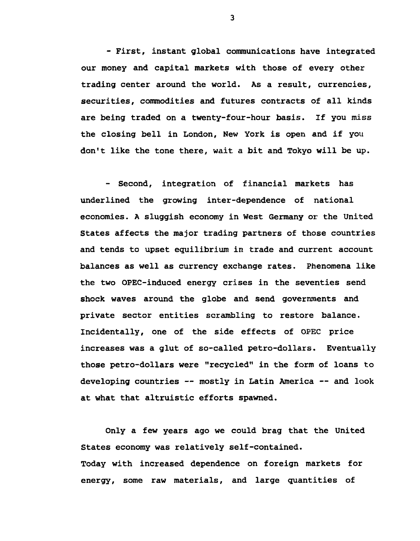- First, instant global communications have integrated our money and capital markets with those of every other trading center around the world. As a result, currencies, securities, commodities and futures contracts of all kinds are being traded on a twenty-four-hour basis. If you miss the closing bell in London, New York is open and if you don't like the tone there, wait a bit and Tokyo will be up.

- Second, integration of financial markets has underlined the growing inter-dependence of national economies. A sluggish economy in West Germany or the United States affects the major trading partners of those countries and tends to upset equilibrium in trade and current account balances as well as currency exchange rates. Phenomena like the two OPEC-induced energy crises in the seventies send shock waves around the globe and send governments and private sector entities scrambling to restore balance. Incidentally, one of the side effects of OPEC price increases was a glut of so-called petro-dollars. Eventually those petro-dollars were "recycled" in the form of loans to developing countries — mostly in Latin America — and look at what that altruistic efforts spawned.

Only a few years ago we could brag that the United States economy was relatively self-contained. Today with increased dependence on foreign markets for energy, some raw materials, and large quantities of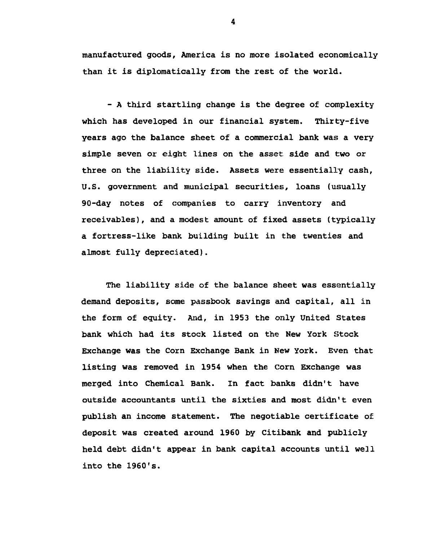manufactured goods, America is no more isolated economically than it is diplomatically from the rest of the world.

- A third startling change is the degree of complexity which has developed in our financial system. Thirty-five years ago the balance sheet of a commercial bank was a very simple seven or eight lines on the asset side and two or three on the liability side. Assets were essentially cash, U.S. government and municipal securities, loans (usually 90-day notes of companies to carry inventory and receivables), and a modest amount of fixed assets (typically a fortress-like bank building built in the twenties and almost fully depreciated).

The liability side of the balance sheet was essentially demand deposits, some passbook savings and capital, all in the form of equity. And, in 1953 the only United States bank which had its stock listed on the New York Stock Exchange was the Corn Exchange Bank in New York. Even that listing was removed in 1954 when the Corn Exchange was merged into Chemical Bank. In fact banks didn't have outside accountants until the sixties and most didn't even publish an income statement. The negotiable certificate o£ deposit was created around 1960 by Citibank and publicly held debt didn't appear in bank capital accounts until well into the 1960's.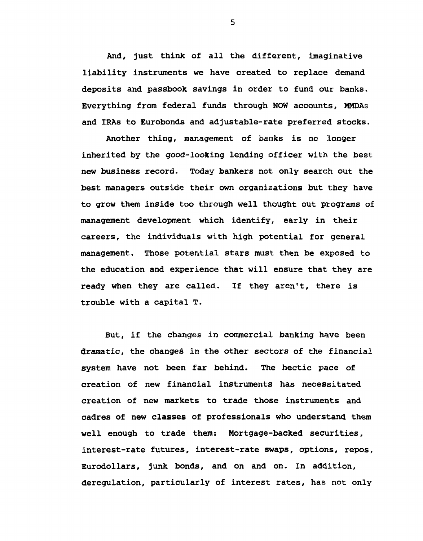And, just think of all the different, imaginative liability instruments we have created to replace demand deposits and passbook savings in order to fund our banks. Everything from federal funds through NOW accounts, MMDAs and IRAs to Eurobonds and adjustable-rate preferred stocks.

Another thing, management of banks is no longer inherited by the good-looking lending officer with the best new business record. Today bankers not only search out the best managers outside their own organizations but they have to grow them inside too through well thought out programs of management development which identify, early in their careers, the individuals with high potential for general management. Those potential stars must then be exposed to the education and experience that will ensure that they are ready when they are called. If they aren't, there is trouble with a capital T.

But, if the changes in commercial banking have been dramatic, the changes in the other sectors of the financial system have not been far behind. The hectic pace of creation of new financial instruments has necessitated creation of new markets to trade those instruments and cadres of new classes of professionals who understand them well enough to trade them: Mortgage-backed securities, interest-rate futures, interest-rate swaps, options, repos, Eurodollars, junk bonds, and on and on. In addition, deregulation, particularly of interest rates, has not only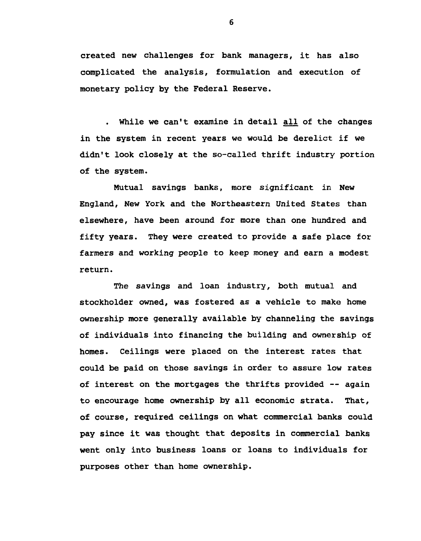created new challenges for bank managers, it has also complicated the analysis, formulation and execution of monetary policy by the Federal Reserve.

. While we can't examine in detail all of the changes in the system in recent years we would be derelict if we didn't look closely at the so-called thrift industry portion of the system.

Mutual savings banks, more significant in New England, New York and the Northeastern United States than elsewhere, have been around for more than one hundred and fifty years. They were created to provide a safe place for farmers and working people to keep money and earn a modest return.

The savings and loan industry, both mutual and stockholder owned, was fostered as a vehicle to make home ownership more generally available by channeling the savings of individuals into financing the building and ownership of homes. Ceilings were placed on the interest rates that could be paid on those savings in order to assure low rates of interest on the mortgages the thrifts provided -- again to encourage home ownership by all economic strata. That, of course, required ceilings on what commercial banks could pay since it was thought that deposits in commercial banks went only into business loans or loans to individuals for purposes other than home ownership.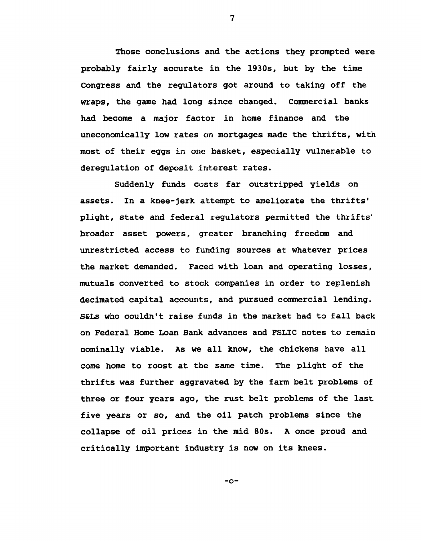Those conclusions and the actions they prompted were probably fairly accurate in the 1930s, but by the time Congress and the regulators got around to taking off the wraps, the game had long since changed. Commercial banks had become a major factor in home finance and the uneconomically low rates on mortgages made the thrifts, with most of their eggs in one basket, especially vulnerable to deregulation of deposit interest rates.

Suddenly funds costs far outstripped yields on assets. In a knee-jerk attempt to ameliorate the thrifts' plight, state and federal regulators permitted the thrifts' broader asset powers, greater branching freedom and unrestricted access to funding sources at whatever prices the market demanded. Faced with loan and operating losses, mutuals converted to stock companies in order to replenish decimated capital accounts, and pursued commercial lending. S&Ls who couldn't raise funds in the market had to fall back on Federal Home Loan Bank advances and FSLIC notes to remain nominally viable. As we all know, the chickens have all come home to roost at the same time. The plight of the thrifts was further aggravated by the farm belt problems of three or four years ago, the rust belt problems of the last five years or so, and the oil patch problems since the collapse of oil prices in the mid 80s. A once proud and critically important industry is now on its knees.

**7**

-o-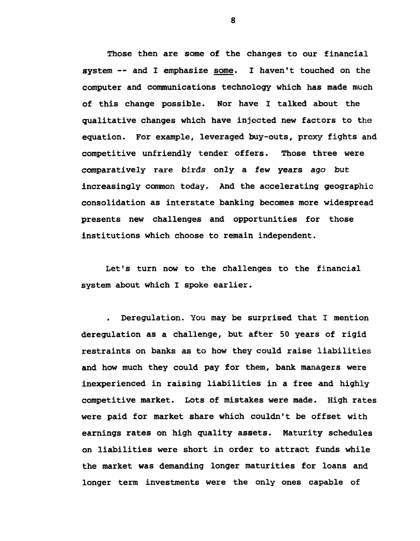Those then are some of the changes to our financial system -- and I emphasize some. I haven't touched on the computer and communications technology which has made much of this change possible. Nor have I talked about the qualitative changes which have injected new factors to the equation. For example, leveraged buy-outs, proxy fights and competitive unfriendly tender offers. Those three were comparatively rare birds only a few years ago but increasingly common today. And the accelerating geographic consolidation as interstate banking becomes more widespread presents new challenges and opportunities for those institutions which choose to remain independent.

Let's turn now to the challenges to the financial system about which I spoke earlier.

Deregulation. You may be surprised that I mention deregulation as a challenge, but after 50 years of rigid restraints on banks as to how they could raise liabilities and how much they could pay for them, bank managers were inexperienced in raising liabilities in a free and highly competitive market. Lots of mistakes were made. High rates were paid for market share which couldn't be offset with earnings rates on high quality assets. Maturity schedules on liabilities were short in order to attract funds while the market was demanding longer maturities for loans and longer term investments were the only ones capable of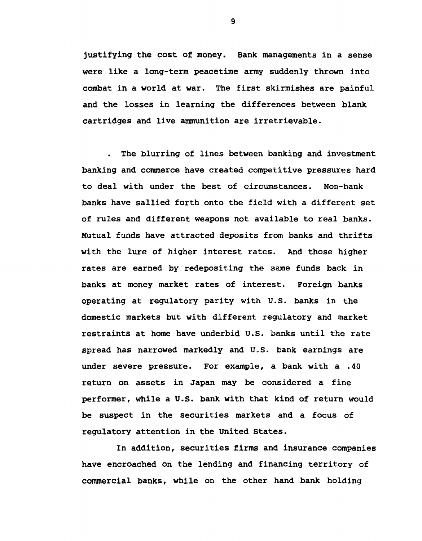justifying the cost of money. Bank managements in a sense were like a long-term peacetime army suddenly thrown into combat in a world at war. The first skirmishes are painful and the losses in learning the differences between blank cartridges and live ammunition are irretrievable.

The blurring of lines between banking and investment banking and commerce have created competitive pressures hard to deal with under the best of circumstances. Non-bank banks have sallied forth onto the field with a different set of rules and different weapons not available to real banks. Mutual funds have attracted deposits from banks and thrifts with the lure of higher interest rates. And those higher rates are earned by redepositing the same funds back in banks at money market rates of interest. Foreign banks operating at regulatory parity with U.S. banks in the domestic markets but with different regulatory and market restraints at home have underbid U.S. banks until the rate spread has narrowed markedly and U.S. bank earnings are under severe pressure. For example, a bank with a .40 return on assets in Japan may be considered a fine performer, while a U.S. bank with that kind of return would be suspect in the securities markets and a focus of regulatory attention in the United States.

In addition, securities firms and insurance companies have encroached on the lending and financing territory of commercial banks, while on the other hand bank holding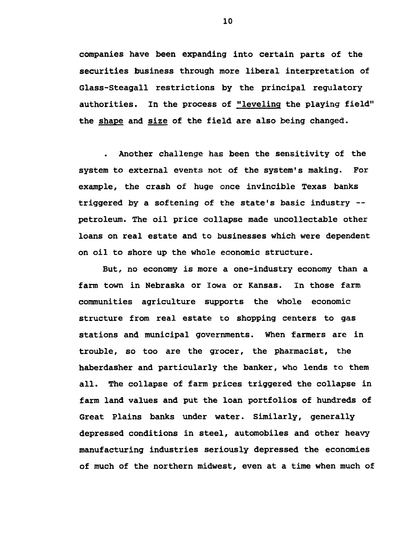companies have been expanding into certain parts of the securities business through more liberal interpretation of Glass-Steagall restrictions by the principal regulatory authorities. In the process of "leveling the playing field" the shape and size of the field are also being changed.

Another challenge has been the sensitivity of the system to external events not of the system's making. For example, the crash of huge once invincible Texas banks triggered by a softening of the state's basic industry -petroleum. The oil price collapse made uncollectable other loans on real estate and to businesses which were dependent on oil to shore up the whole economic structure.

But, no economy is more a one-industry economy than a farm town in Nebraska or Iowa or Kansas. In those farm communities agriculture supports the whole economic structure from real estate to shopping centers to gas stations and municipal governments. When farmers are in trouble, so too are the grocer, the pharmacist, the haberdasher and particularly the banker, who lends to them all. The collapse of farm prices triggered the collapse in farm land values and put the loan portfolios of hundreds of Great Plains banks under water. Similarly, generally depressed conditions in steel, automobiles and other heavy manufacturing industries seriously depressed the economies of much of the northern midwest, even at a time when much of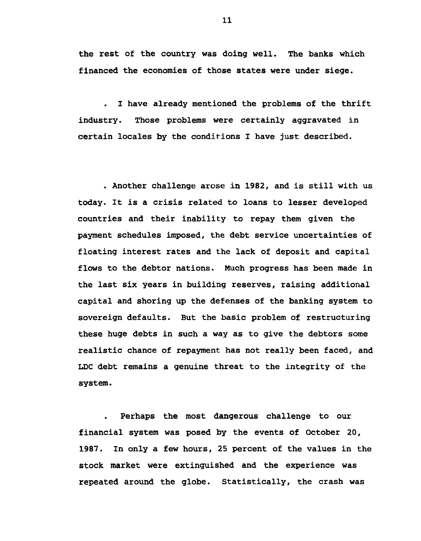the rest of the country was doing well. The banks which financed the economies of those states were under siege.

 $\ddot{\phantom{a}}$ I have already mentioned the problems of the thrift industry. Those problems were certainly aggravated in certain locales by the conditions I have just described.

. Another challenge arose in 1982, and is still with us today. It is a crisis related to loans to lesser developed countries and their inability to repay them given the payment schedules imposed, the debt service uncertainties of floating interest rates and the lack of deposit and capital flows to the debtor nations. Much progress has been made in the last six years in building reserves, raising additional capital and shoring up the defenses of the banking system to sovereign defaults. But the basic problem of restructuring these huge debts in such a way as to give the debtors some realistic chance of repayment has not really been faced, and LDC debt remains a genuine threat to the integrity of the system.

Perhaps the most dangerous challenge to our financial system was posed by the events of October 20, 1987. In only a few hours, 25 percent of the values in the stock market were extinguished and the experience was repeated around the globe. Statistically, the crash was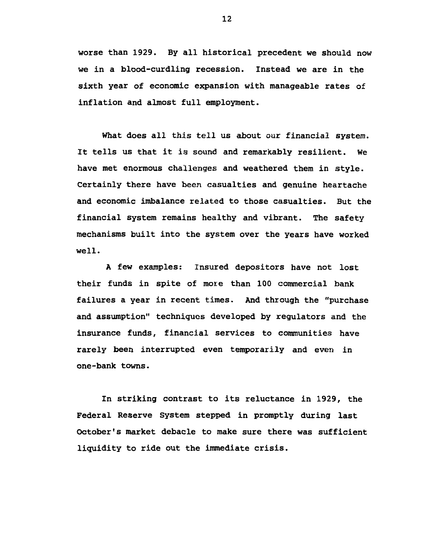worse than 1929. By all historical precedent we should now we in a blood-curdling recession. Instead we are in the sixth year of economic expansion with manageable rates of inflation and almost full employment.

What does all this tell us about our financial system. It tells us that it is sound and remarkably resilient. We have met enormous challenges and weathered them in style. Certainly there have been casualties and genuine heartache and economic imbalance related to those casualties. But the financial system remains healthy and vibrant. The safety mechanisms built into the system over the years have worked well.

A few examples: Insured depositors have not lost their funds in spite of more than 100 commercial bank failures a year in recent times. And through the "purchase and assumption" techniques developed by regulators and the insurance funds, financial services to communities have rarely been interrupted even temporarily and even in one-bank towns.

In striking contrast to its reluctance in 1929, the Federal Reserve System stepped in promptly during last October's market debacle to make sure there was sufficient liquidity to ride out the immediate crisis.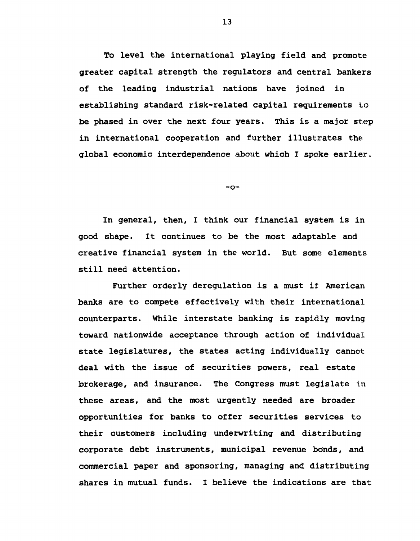To level the international playing field and promote greater capital strength the regulators and central bankers of the leading industrial nations have joined in establishing standard risk-related capital requirements to be phased in over the next four years. This is a major step in international cooperation and further illustrates the global economic interdependence about which I spoke earlier,

*- c i -*

*In* general, then, I think our financial system is in good shape. It continues to be the most adaptable and creative financial system in the world. But some elements still need attention.

Further orderly deregulation is a must if American banks are to compete effectively with their international counterparts. While interstate banking is rapidly moving toward nationwide acceptance through action of individual state legislatures, the states acting individually cannot deal with the issue of securities powers, real estate brokerage, and insurance. The Congress must legislate in these areas, and the most urgently needed are broader opportunities for banks to offer securities services to their customers including underwriting and distributing corporate debt instruments, municipal revenue bonds, and commercial paper and sponsoring, managing and distributing shares in mutual funds. I believe the indications are that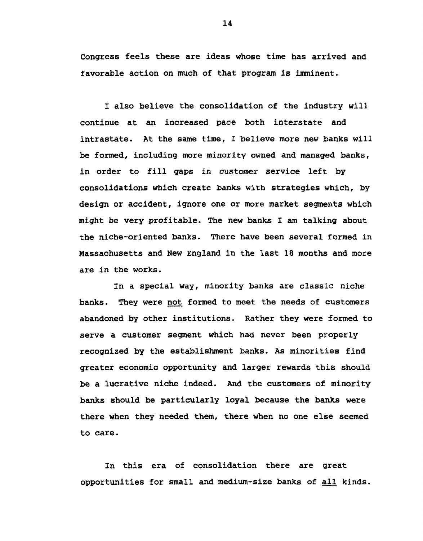Congress feels these are ideas whose time has arrived and favorable action on much of that program is imminent.

I also believe the consolidation of the industry will continue at an increased pace both interstate and intrastate. At the same time, I believe more new banks will be formed, including more minority owned and managed banks, in order to fill gaps in customer service left by consolidations which create banks with strategies which, by design or accident, ignore one or more market segments which might be very profitable. The new banks I am talking about the niche-oriented banks. There have been several formed in Massachusetts and New England in the last 18 months and more are in the works.

In a special way, minority banks are classic niche banks. They were not formed to meet the needs of customers abandoned by other institutions. Rather they were formed to serve a customer segment which had never been properly recognized by the establishment banks. As minorities find greater economic opportunity and larger rewards this should be a lucrative niche indeed. And the customers of minority banks should be particularly loyal because the banks were there when they needed them, there when no one else seemed to care.

In this era of consolidation there are great opportunities for small and medium-size banks of all kinds.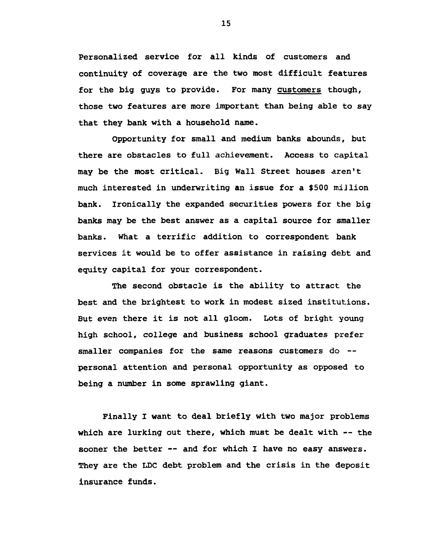Personalized service for all kinds of customers and continuity of coverage are the two most difficult features for the big guys to provide. For many customers though, those two features are more important than being able to say that they bank with a household name.

Opportunity for small and medium banks abounds, but there are obstacles to full achievement. Access to capital may be the most critical. Big Wall Street houses aren't much interested in underwriting an issue for a \$500 million bank. Ironically the expanded securities powers for the big banks may be the best answer as a capital source for smaller banks. What a terrific addition to correspondent bank services it would be to offer assistance in raising debt and equity capital for your correspondent.

The second obstacle is the ability to attract the best and the brightest to work in modest sized institutions. But even there it is not all gloom. Lots of bright young high school, college and business school graduates prefer smaller companies for the same reasons customers do -personal attention and personal opportunity as opposed to being a number in some sprawling giant.

Finally I want to deal briefly with two major problems which are lurking out there, which must be dealt with -- the sooner the better -- and for which I have no easy answers. They are the LDC debt problem and the crisis in the deposit insurance funds.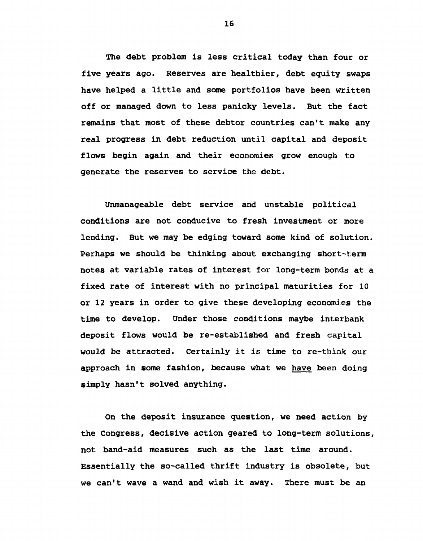The debt problem is less critical today than four or five years ago. Reserves are healthier, debt equity swaps have helped a little and some portfolios have been written off or managed down to less panicky levels. But the fact remains that most of these debtor countries can't make any real progress in debt reduction until capital and deposit flows begin again and their economies grow enough to generate the reserves to service the debt.

Unmanageable debt service and unstable political conditions are not conducive to fresh investment or more lending. But we may be edging toward some kind of solution. Perhaps we should be thinking about exchanging short-term notes at variable rates of interest for long-term bonds at a fixed rate of interest with no principal maturities for 10 or 12 years in order to give these developing economies the time to develop. Under those conditions maybe interbank deposit flows would be re-established and fresh capital would be attracted. Certainly it is time to re-think our approach in some fashion, because what we have been doing simply hasn't solved anything.

On the deposit insurance question, we need action by the Congress, decisive action geared to long-term solutions, not band-aid measures such as the last time around. Essentially the so-called thrift industry is obsolete, but we can't wave a wand and wish it away. There must be an